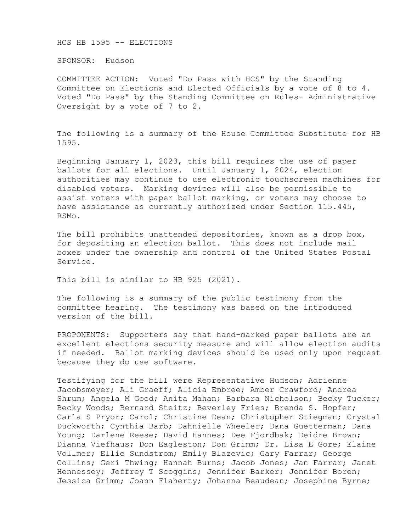HCS HB 1595 -- ELECTIONS

SPONSOR: Hudson

COMMITTEE ACTION: Voted "Do Pass with HCS" by the Standing Committee on Elections and Elected Officials by a vote of 8 to 4. Voted "Do Pass" by the Standing Committee on Rules- Administrative Oversight by a vote of 7 to 2.

The following is a summary of the House Committee Substitute for HB 1595.

Beginning January 1, 2023, this bill requires the use of paper ballots for all elections. Until January 1, 2024, election authorities may continue to use electronic touchscreen machines for disabled voters. Marking devices will also be permissible to assist voters with paper ballot marking, or voters may choose to have assistance as currently authorized under Section 115.445, RSMo.

The bill prohibits unattended depositories, known as a drop box, for depositing an election ballot. This does not include mail boxes under the ownership and control of the United States Postal Service.

This bill is similar to HB 925 (2021).

The following is a summary of the public testimony from the committee hearing. The testimony was based on the introduced version of the bill.

PROPONENTS: Supporters say that hand-marked paper ballots are an excellent elections security measure and will allow election audits if needed. Ballot marking devices should be used only upon request because they do use software.

Testifying for the bill were Representative Hudson; Adrienne Jacobsmeyer; Ali Graeff; Alicia Embree; Amber Crawford; Andrea Shrum; Angela M Good; Anita Mahan; Barbara Nicholson; Becky Tucker; Becky Woods; Bernard Steitz; Beverley Fries; Brenda S. Hopfer; Carla S Pryor; Carol; Christine Dean; Christopher Stiegman; Crystal Duckworth; Cynthia Barb; Dahnielle Wheeler; Dana Guetterman; Dana Young; Darlene Reese; David Hannes; Dee Fjordbak; Deidre Brown; Dianna Viefhaus; Don Eagleston; Don Grimm; Dr. Lisa E Gore; Elaine Vollmer; Ellie Sundstrom; Emily Blazevic; Gary Farrar; George Collins; Geri Thwing; Hannah Burns; Jacob Jones; Jan Farrar; Janet Hennessey; Jeffrey T Scoggins; Jennifer Barker; Jennifer Boren; Jessica Grimm; Joann Flaherty; Johanna Beaudean; Josephine Byrne;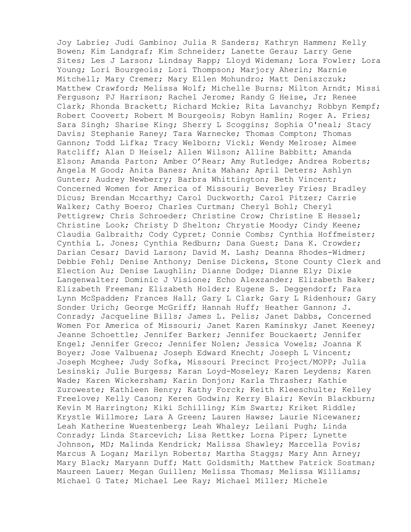Joy Labrie; Judi Gambino; Julia R Sanders; Kathryn Hammen; Kelly Bowen; Kim Landgraf; Kim Schneider; Lanette Gerau; Larry Gene Sites; Les J Larson; Lindsay Rapp; Lloyd Wideman; Lora Fowler; Lora Young; Lori Bourgeois; Lori Thompson; Marjory Aherin; Marnie Mitchell; Mary Cremer; Mary Ellen Mohundro; Matt Deniszczuk; Matthew Crawford; Melissa Wolf; Michelle Burns; Milton Arndt; Missi Ferguson; PJ Harrison; Rachel Jerome; Randy G Heise, Jr; Renee Clark; Rhonda Brackett; Richard Mckie; Rita Lavanchy; Robbyn Kempf; Robert Coovert; Robert M Bourgeois; Robyn Hamlin; Roger A. Fries; Sara Singh; Sharise King; Sherry L Scoggins; Sophia O'neal; Stacy Davis; Stephanie Raney; Tara Warnecke; Thomas Compton; Thomas Gannon; Todd Lifka; Tracy Welborn; Vicki; Wendy Melrose; Aimee Ratcliff; Alan D Heisel; Allen Wilson; Alline Babbitt; Amanda Elson; Amanda Parton; Amber O'Rear; Amy Rutledge; Andrea Roberts; Angela M Good; Anita Banes; Anita Mahan; April Deters; Ashlyn Gunter; Audrey Newberry; Barbra Whittington; Beth Vincent; Concerned Women for America of Missouri; Beverley Fries; Bradley Dicus; Brendan Mccarthy; Carol Duckworth; Carol Pitzer; Carrie Walker; Cathy Boero; Charles Curtman; Cheryl Bohl; Cheryl Pettigrew; Chris Schroeder; Christine Crow; Christine E Hessel; Christine Look; Christy D Shelton; Chrystie Moody; Cindy Keene; Claudia Galbraith; Cody Cypret; Connie Combs; Cynthia Hoffmeister; Cynthia L. Jones; Cynthia Redburn; Dana Guest; Dana K. Crowder; Darian Cesar; David Larson; David M. Lash; Deanna Rhodes-Widmer; Debbie Fehl; Denise Anthony; Denise Dickens, Stone County Clerk and Election Au; Denise Laughlin; Dianne Dodge; Dianne Ely; Dixie Langenwalter; Dominic J Visione; Echo Alexzander; Elizabeth Baker; Elizabeth Freeman; Elizabeth Holder; Eugene S. Deggendorf; Fara Lynn McSpadden; Frances Hall; Gary L Clark; Gary L Ridenhour; Gary Sonder Urich; George McGriff; Hannah Huff; Heather Gannon; J. Conrady; Jacqueline Bills; James L. Pelis; Janet Dabbs, Concerned Women For America of Missouri; Janet Karen Kaminsky; Janet Keeney; Jeanne Schoettle; Jennifer Barker; Jennifer Bouckaert; Jennifer Engel; Jennifer Greco; Jennifer Nolen; Jessica Vowels; Joanna K Boyer; Jose Valbuena; Joseph Edward Knecht; Joseph L Vincent; Joseph Mcghee; Judy Sofka, Missouri Precinct Project/MOPP; Julia Lesinski; Julie Burgess; Karan Loyd-Moseley; Karen Leydens; Karen Wade; Karen Wickersham; Karin Donjon; Karla Thrasher; Kathie Zuroweste; Kathleen Henry; Kathy Forck; Keith Kleeschulte; Kelley Freelove; Kelly Cason; Keren Godwin; Kerry Blair; Kevin Blackburn; Kevin M Harrington; Kiki Schilling; Kim Swartz; Kriket Riddle; Krystle Willmore; Lara A Green; Lauren Hawse; Laurie Nicewaner; Leah Katherine Wuestenberg; Leah Whaley; Leilani Pugh; Linda Conrady; Linda Starcevich; Lisa Rettke; Lorna Piper; Lynette Johnson, MD; Malinda Kendrick; Malissa Shawley; Marcella Povis; Marcus A Logan; Marilyn Roberts; Martha Staggs; Mary Ann Arney; Mary Black; Maryann Duff; Matt Goldsmith; Matthew Patrick Sostman; Maureen Lauer; Megan Guillen; Melissa Thomas; Melissa Williams; Michael G Tate; Michael Lee Ray; Michael Miller; Michele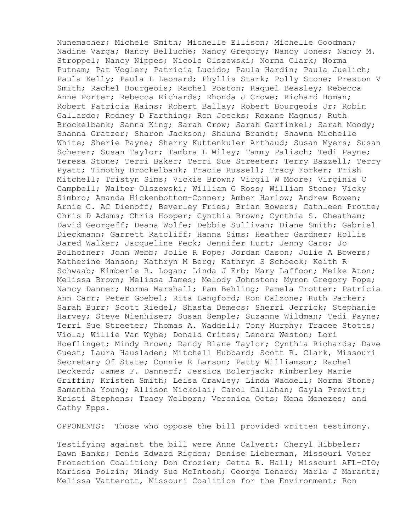Nunemacher; Michele Smith; Michelle Ellison; Michelle Goodman; Nadine Varga; Nancy Belluche; Nancy Gregory; Nancy Jones; Nancy M. Stroppel; Nancy Nippes; Nicole Olszewski; Norma Clark; Norma Putnam; Pat Vogler; Patricia Lucido; Paula Hardin; Paula Juelich; Paula Kelly; Paula L Leonard; Phyllis Stark; Polly Stone; Preston V Smith; Rachel Bourgeois; Rachel Poston; Raquel Beasley; Rebecca Anne Porter; Rebecca Richards; Rhonda J Crowe; Richard Homan; Robert Patricia Rains; Robert Ballay; Robert Bourgeois Jr; Robin Gallardo; Rodney D Farthing; Ron Joecks; Roxane Magnus; Ruth Brockelbank; Sanna King; Sarah Crow; Sarah Garfinkel; Sarah Moody; Shanna Gratzer; Sharon Jackson; Shauna Brandt; Shawna Michelle White; Sherie Payne; Sherry Kuttenkuler Arthaud; Susan Myers; Susan Scherer; Susan Taylor; Tambra L Wiley; Tammy Palisch; Tedi Payne; Teresa Stone; Terri Baker; Terri Sue Streeter; Terry Bazzell; Terry Pyatt; Timothy Brockelbank; Tracie Russell; Tracy Forker; Trish Mitchell; Tristyn Sims; Vickie Brown; Virgil W Moore; Virginia C Campbell; Walter Olszewski; William G Ross; William Stone; Vicky Simbro; Amanda Hickenbottom-Conner; Amber Harlow; Andrew Bowen; Arnie C. AC Dienoff; Beverley Fries; Brian Bowers; Cathleen Protte; Chris D Adams; Chris Hooper; Cynthia Brown; Cynthia S. Cheatham; David Georgeff; Deana Wolfe; Debbie Sullivan; Diane Smith; Gabriel Dieckmann; Garrett Ratcliff; Hanna Sims; Heather Gardner; Hollis Jared Walker; Jacqueline Peck; Jennifer Hurt; Jenny Caro; Jo Bolhofner; John Webb; Jolie R Pope; Jordan Cason; Julie A Bowers; Katherine Manson; Kathryn M Berg; Kathryn S Schoeck; Keith R Schwaab; Kimberle R. Logan; Linda J Erb; Mary Laffoon; Meike Aton; Melissa Brown; Melissa James; Melody Johnston; Myron Gregory Pope; Nancy Danner; Norma Marshall; Pam Behling; Pamela Trotter; Patricia Ann Carr; Peter Goebel; Rita Langford; Ron Calzone; Ruth Parker; Sarah Burr; Scott Riedel; Shasta Demecs; Sherri Jerrick; Stephanie Harvey; Steve Nienhiser; Susan Semple; Suzanne Wildman; Tedi Payne; Terri Sue Streeter; Thomas A. Waddell; Tony Murphy; Tracee Stotts; Viola; Willie Van Wyhe; Donald Crites; Lenora Weston; Lori Hoeflinget; Mindy Brown; Randy Blane Taylor; Cynthia Richards; Dave Guest; Laura Hausladen; Mitchell Hubbard; Scott R. Clark, Missouri Secretary Of State; Connie R Larson; Patty Williamson; Rachel Deckerd; James F. Dannerf; Jessica Bolerjack; Kimberley Marie Griffin; Kristen Smith; Leisa Crawley; Linda Waddell; Norma Stone; Samantha Young; Allison Nickolai; Carol Callahan; Gayla Prewitt; Kristi Stephens; Tracy Welborn; Veronica Oots; Mona Menezes; and Cathy Epps.

OPPONENTS: Those who oppose the bill provided written testimony.

Testifying against the bill were Anne Calvert; Cheryl Hibbeler; Dawn Banks; Denis Edward Rigdon; Denise Lieberman, Missouri Voter Protection Coalition; Don Crozier; Getta R. Hall; Missouri AFL-CIO; Marissa Polzin; Mindy Sue McIntosh; George Lenard; Marla J Marantz; Melissa Vatterott, Missouri Coalition for the Environment; Ron